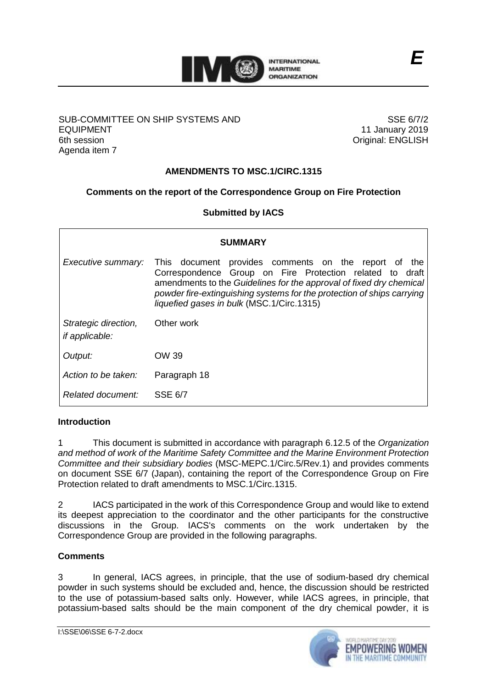

### SUB-COMMITTEE ON SHIP SYSTEMS AND EQUIPMENT 6th session Agenda item 7

SSE 6/7/2 11 January 2019 Original: ENGLISH

*E*

# **AMENDMENTS TO MSC.1/CIRC.1315**

# **Comments on the report of the Correspondence Group on Fire Protection**

## **Submitted by IACS**

| <b>SUMMARY</b>                                |                                                                                                                                                                                                                                                                                                                   |
|-----------------------------------------------|-------------------------------------------------------------------------------------------------------------------------------------------------------------------------------------------------------------------------------------------------------------------------------------------------------------------|
| Executive summary:                            | This document provides comments on the report of<br>the<br>Correspondence Group on Fire Protection related to draft<br>amendments to the Guidelines for the approval of fixed dry chemical<br>powder fire-extinguishing systems for the protection of ships carrying<br>liquefied gases in bulk (MSC.1/Circ.1315) |
| Strategic direction,<br><i>if applicable:</i> | Other work                                                                                                                                                                                                                                                                                                        |
| Output:                                       | OW 39                                                                                                                                                                                                                                                                                                             |
| Action to be taken:                           | Paragraph 18                                                                                                                                                                                                                                                                                                      |
| Related document:                             | <b>SSE 6/7</b>                                                                                                                                                                                                                                                                                                    |

### **Introduction**

1 This document is submitted in accordance with paragraph 6.12.5 of the *Organization and method of work of the Maritime Safety Committee and the Marine Environment Protection Committee and their subsidiary bodies* (MSC-MEPC.1/Circ.5/Rev.1) and provides comments on document SSE 6/7 (Japan), containing the report of the Correspondence Group on Fire Protection related to draft amendments to MSC.1/Circ.1315.

2 IACS participated in the work of this Correspondence Group and would like to extend its deepest appreciation to the coordinator and the other participants for the constructive discussions in the Group. IACS's comments on the work undertaken by the Correspondence Group are provided in the following paragraphs.

### **Comments**

3 In general, IACS agrees, in principle, that the use of sodium-based dry chemical powder in such systems should be excluded and, hence, the discussion should be restricted to the use of potassium-based salts only. However, while IACS agrees, in principle, that potassium-based salts should be the main component of the dry chemical powder, it is

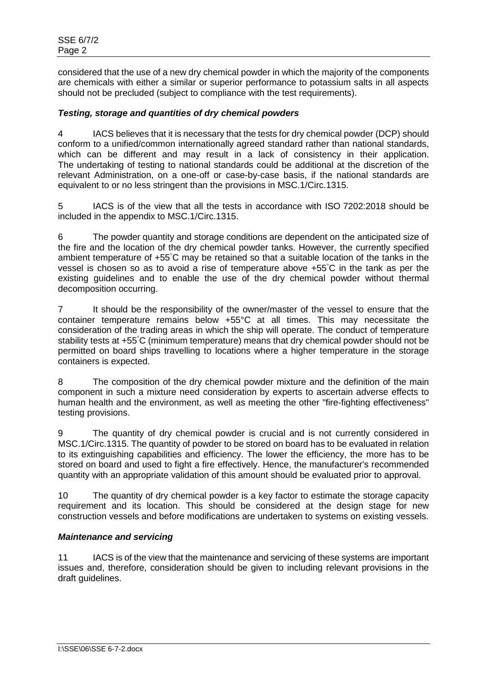considered that the use of a new dry chemical powder in which the majority of the components are chemicals with either a similar or superior performance to potassium salts in all aspects should not be precluded (subject to compliance with the test requirements).

## *Testing, storage and quantities of dry chemical powders*

4 IACS believes that it is necessary that the tests for dry chemical powder (DCP) should conform to a unified/common internationally agreed standard rather than national standards, which can be different and may result in a lack of consistency in their application. The undertaking of testing to national standards could be additional at the discretion of the relevant Administration, on a one-off or case-by-case basis, if the national standards are equivalent to or no less stringent than the provisions in MSC.1/Circ.1315.

5 IACS is of the view that all the tests in accordance with ISO 7202:2018 should be included in the appendix to MSC.1/Circ.1315.

6 The powder quantity and storage conditions are dependent on the anticipated size of the fire and the location of the dry chemical powder tanks. However, the currently specified ambient temperature of +55°C may be retained so that a suitable location of the tanks in the vessel is chosen so as to avoid a rise of temperature above +55°C in the tank as per the existing guidelines and to enable the use of the dry chemical powder without thermal decomposition occurring.

7 It should be the responsibility of the owner/master of the vessel to ensure that the container temperature remains below +55°C at all times. This may necessitate the consideration of the trading areas in which the ship will operate. The conduct of temperature stability tests at +55°C (minimum temperature) means that dry chemical powder should not be permitted on board ships travelling to locations where a higher temperature in the storage containers is expected.

8 The composition of the dry chemical powder mixture and the definition of the main component in such a mixture need consideration by experts to ascertain adverse effects to human health and the environment, as well as meeting the other "fire-fighting effectiveness" testing provisions.

9 The quantity of dry chemical powder is crucial and is not currently considered in MSC.1/Circ.1315. The quantity of powder to be stored on board has to be evaluated in relation to its extinguishing capabilities and efficiency. The lower the efficiency, the more has to be stored on board and used to fight a fire effectively. Hence, the manufacturer's recommended quantity with an appropriate validation of this amount should be evaluated prior to approval.

10 The quantity of dry chemical powder is a key factor to estimate the storage capacity requirement and its location. This should be considered at the design stage for new construction vessels and before modifications are undertaken to systems on existing vessels.

### *Maintenance and servicing*

11 IACS is of the view that the maintenance and servicing of these systems are important issues and, therefore, consideration should be given to including relevant provisions in the draft guidelines.